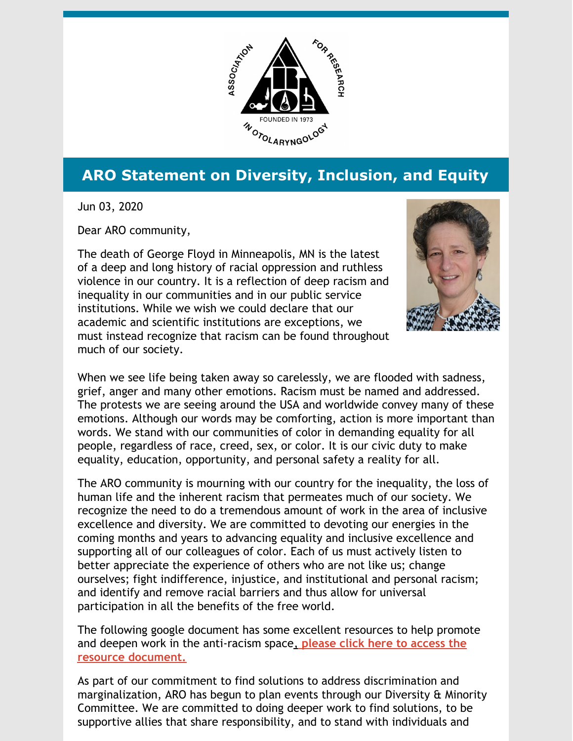

## **ARO Statement on Diversity, Inclusion, and Equity**

Jun 03, 2020

Dear ARO community,

The death of George Floyd in Minneapolis, MN is the latest of a deep and long history of racial oppression and ruthless violence in our country. It is a reflection of deep racism and inequality in our communities and in our public service institutions. While we wish we could declare that our academic and scientific institutions are exceptions, we must instead recognize that racism can be found throughout much of our society.



When we see life being taken away so carelessly, we are flooded with sadness, grief, anger and many other emotions. Racism must be named and addressed. The protests we are seeing around the USA and worldwide convey many of these emotions. Although our words may be comforting, action is more important than words. We stand with our communities of color in demanding equality for all people, regardless of race, creed, sex, or color. It is our civic duty to make equality, education, opportunity, and personal safety a reality for all.

The ARO community is mourning with our country for the inequality, the loss of human life and the inherent racism that permeates much of our society. We recognize the need to do a tremendous amount of work in the area of inclusive excellence and diversity. We are committed to devoting our energies in the coming months and years to advancing equality and inclusive excellence and supporting all of our colleagues of color. Each of us must actively listen to better appreciate the experience of others who are not like us; change ourselves; fight indifference, injustice, and institutional and personal racism; and identify and remove racial barriers and thus allow for universal participation in all the benefits of the free world.

The following google document has some excellent resources to help promote and deepen work in the [anti-racism](https://docs.google.com/document/d/1BRlF2_zhNe86SGgHa6-VlBO-QgirITwCTugSfKie5Fs/preview?pru=AAABcpwG4Fk*6lMTvZ5TRmrYZTv4YS55MA) space[,](https://docs.google.com/document/d/1BRlF2_zhNe86SGgHa6-VlBO-QgirITwCTugSfKie5Fs/preview?pru=AAABcpwG4Fk*6lMTvZ5TRmrYZTv4YS55MA) **please click here to access the resource document.**

As part of our commitment to find solutions to address discrimination and marginalization, ARO has begun to plan events through our Diversity & Minority Committee. We are committed to doing deeper work to find solutions, to be supportive allies that share responsibility, and to stand with individuals and